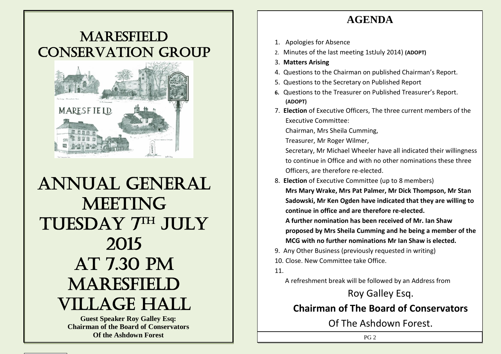### **AGENDA**

## **MARESFIELD** Conservation group



# Annual general **MEETING** TUESDAY 7TH JULY 2015 At 7.30 pm **MARESFIELD** Village Hall

**Guest Speaker Roy Galley Esq: Chairman of the Board of Conservators Of the Ashdown Forest** 

- 1. Apologies for Absence
- 2. Minutes of the last meeting 1stJuly 2014) **(ADOPT)**
- 3. **Matters Arising**
- 4. Questions to the Chairman on published Chairman's Report.
- 5. Questions to the Secretary on Published Report
- **6.** Questions to the Treasurer on Published Treasurer's Report. **(ADOPT)**
- 7. **Election** of Executive Officers, The three current members of the Executive Committee:

Chairman, Mrs Sheila Cumming,

Treasurer, Mr Roger Wilmer,

Secretary, Mr Michael Wheeler have all indicated their willingness to continue in Office and with no other nominations these three Officers, are therefore re-elected.

8. **Election** of Executive Committee (up to 8 members)

**Mrs Mary Wrake, Mrs Pat Palmer, Mr Dick Thompson, Mr Stan Sadowski, Mr Ken Ogden have indicated that they are willing to continue in office and are therefore re-elected.** 

**A further nomination has been received of Mr. Ian Shaw proposed by Mrs Sheila Cumming and he being a member of the MCG with no further nominations Mr Ian Shaw is elected.**

9. Any Other Business (previously requested in writing) 10. Close. New Committee take Office.

11.

A refreshment break will be followed by an Address from

Roy Galley Esq. **Chairman of The Board of Conservators**  Of The Ashdown Forest.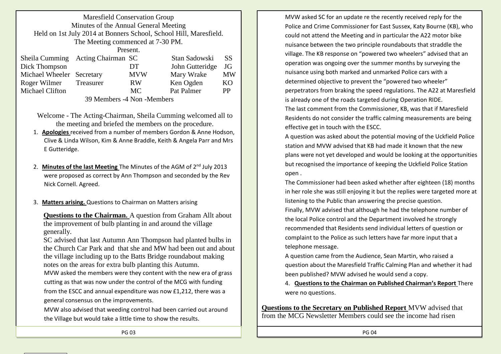| <b>Maresfield Conservation Group</b>                              |  |            |                 |           |
|-------------------------------------------------------------------|--|------------|-----------------|-----------|
| Minutes of the Annual General Meeting                             |  |            |                 |           |
| Held on 1st July 2014 at Bonners School, School Hill, Maresfield. |  |            |                 |           |
| The Meeting commenced at 7-30 PM.                                 |  |            |                 |           |
| Present.                                                          |  |            |                 |           |
| Sheila Cumming Acting Chairman SC                                 |  |            | Stan Sadowski   | <b>SS</b> |
| Dick Thompson                                                     |  | DT.        | John Gutteridge | JG        |
| Michael Wheeler Secretary                                         |  | <b>MVW</b> | Mary Wrake      | <b>MW</b> |
| Roger Wilmer Treasurer                                            |  | <b>RW</b>  | Ken Ogden       | KO        |
| Michael Clifton                                                   |  | <b>MC</b>  | Pat Palmer      | PP        |
| $20M - 1$ $4M - M - 1$                                            |  |            |                 |           |

39 Members -4 Non -Members

Welcome - The Acting-Chairman, Sheila Cumming welcomed all to the meeting and briefed the members on the procedure.

- 1. **Apologies** received from a number of members Gordon & Anne Hodson, Clive & Linda Wilson, Kim & Anne Braddle, Keith & Angela Parr and Mrs E Gutteridge.
- 2. **Minutes of the last Meeting** The Minutes of the AGM of 2<sup>nd</sup> July 2013 were proposed as correct by Ann Thompson and seconded by the Rev Nick Cornell. Agreed.
- 3. **Matters arising.** Questions to Chairman on Matters arising

**Questions to the Chairman.** A question from Graham Allt about the improvement of bulb planting in and around the village generally.

SC advised that last Autumn Ann Thompson had planted bulbs in the Church Car Park and that she and MW had been out and about the village including up to the Batts Bridge roundabout making notes on the areas for extra bulb planting this Autumn. MVW asked the members were they content with the new era of grass cutting as that was now under the control of the MCG with funding from the ESCC and annual expenditure was now £1,212, there was a general consensus on the improvements.

MVW also advised that weeding control had been carried out around the Village but would take a little time to show the results.

MVW asked SC for an update re the recently received reply for the Police and Crime Commissioner for East Sussex, Katy Bourne (KB), who could not attend the Meeting and in particular the A22 motor bike nuisance between the two principle roundabouts that straddle the village. The KB response on "powered two wheelers" advised that an operation was ongoing over the summer months by surveying the nuisance using both marked and unmarked Police cars with a determined objective to prevent the "powered two wheeler" perpetrators from braking the speed regulations. The A22 at Maresfield is already one of the roads targeted during Operation RIDE. The last comment from the Commissioner, KB, was that if Maresfield Residents do not consider the traffic calming measurements are being

A question was asked about the potential moving of the Uckfield Police station and MVW advised that KB had made it known that the new plans were not yet developed and would be looking at the opportunities but recognised the importance of keeping the Uckfield Police Station open .

effective get in touch with the ESCC.

The Commissioner had been asked whether after eighteen (18) months in her role she was still enjoying it but the replies were targeted more at listening to the Public than answering the precise question.

Finally, MVW advised that although he had the telephone number of the local Police control and the Department involved he strongly recommended that Residents send individual letters of question or complaint to the Police as such letters have far more input that a telephone message.

A question came from the Audience, Sean Martin, who raised a question about the Maresfield Traffic Calming Plan and whether it had been published? MVW advised he would send a copy.

4. **Questions to the Chairman on Published Chairman's Report** There were no questions.

**Questions to the Secretary on Published Report** MVW advised that from the MCG Newsletter Members could see the income had risen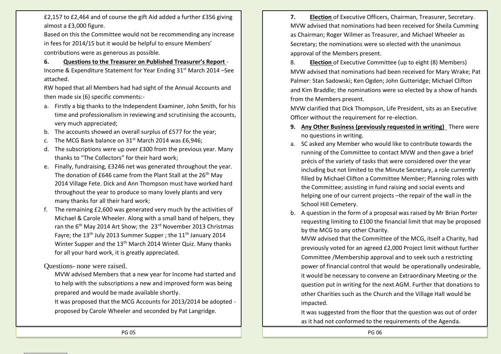£2,157 to £2,464 and of course the gift Aid added a further £356 giving almost a £3,000 figure.

Based on this the Committee would not be recommending any increase in fees for 2014/15 but it would be helpful to ensure Members' contributions were as generous as possible.

**6. Questions to the Treasurer on Published Treasurer's Report** - Income & Expenditure Statement for Year Ending 31<sup>st</sup> March 2014 –See attached.

RW hoped that all Members had had sight of the Annual Accounts and then made six (6) specific comments:-

- a. Firstly a big thanks to the Independent Examiner, John Smith, for his time and professionalism in reviewing and scrutinising the accounts, very much appreciated;
- b. The accounts showed an overall surplus of £577 for the year;
- c. The MCG Bank balance on  $31^{st}$  March 2014 was £6,946;
- d. The subscriptions were up over £300 from the previous year. Many thanks to "The Collectors" for their hard work;
- e. Finally, fundraising, £3246 net was generated throughout the year. The donation of £646 came from the Plant Stall at the 26<sup>th</sup> May 2014 Village Fete. Dick and Ann Thompson must have worked hard throughout the year to produce so many lovely plants and very many thanks for all their hard work;
- f. The remaining £2,600 was generated very much by the activities of Michael & Carole Wheeler. Along with a small band of helpers, they ran the 6<sup>th</sup> May 2014 Art Show; the 23<sup>rd</sup> November 2013 Christmas Favre: the 13<sup>th</sup> July 2013 Summer Supper ; the 11<sup>th</sup> January 2014 Winter Supper and the 13<sup>th</sup> March 2014 Winter Quiz. Many thanks for all your hard work, it is greatly appreciated.

Questions- none were raised.

MVW advised Members that a new year for Income had started and to help with the subscriptions a new and improved form was being prepared and would be made available shortly.

It was proposed that the MCG Accounts for 2013/2014 be adopted proposed by Carole Wheeler and seconded by Pat Langridge.

**7. Election** of Executive Officers, Chairman, Treasurer, Secretary. MVW advised that nominations had been received for Sheila Cumming as Chairman; Roger Wilmer as Treasurer, and Michael Wheeler as Secretary; the nominations were so elected with the unanimous approval of the Members present.

8. **Election** of Executive Committee (up to eight (8) Members) MVW advised that nominations had been received for Mary Wrake; Pat Palmer: Stan Sadowski; Ken Ogden; John Gutteridge; Michael Clifton and Kim Braddle; the nominations were so elected by a show of hands from the Members present.

MVW clarified that Dick Thompson, Life President, sits as an Executive Officer without the requirement for re-election.

- **9. Any Other Business (previously requested in writing)** There were no questions in writing.
- a. SC asked any Member who would like to contribute towards the running of the Committee to contact MVW and then gave a brief précis of the variety of tasks that were considered over the year including but not limited to the Minute Secretary, a role currently filled by Michael Clifton a Committee Member; Planning roles with the Committee; assisting in fund raising and social events and helping one of our current projects –the repair of the wall in the School Hill Cemetery.
- b. A question in the form of a proposal was raised by Mr Brian Porter requesting limiting to £100 the financial limit that may be proposed by the MCG to any other Charity.

MVW advised that the Committee of the MCG, itself a Charity, had previously voted for an agreed £2,000 Project limit without further Committee /Membership approval and to seek such a restricting power of financial control that would be operationally undesirable, it would be necessary to convene an Extraordinary Meeting or the question put in writing for the next AGM. Further that donations to other Charities such as the Church and the Village Hall would be impacted.

It was suggested from the floor that the question was out of order as it had not conformed to the requirements of the Agenda.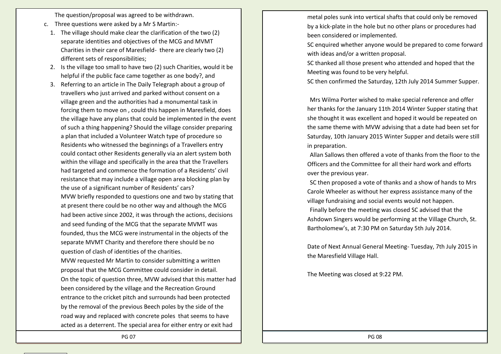The question/proposal was agreed to be withdrawn.

- c. Three questions were asked by a Mr S Martin:-
	- 1. The village should make clear the clarification of the two (2) separate identities and objectives of the MCG and MVMT Charities in their care of Maresfield- there are clearly two (2) different sets of responsibilities;
	- 2. Is the village too small to have two (2) such Charities, would it be helpful if the public face came together as one body?, and
	- 3. Referring to an article in The Daily Telegraph about a group of travellers who just arrived and parked without consent on a village green and the authorities had a monumental task in forcing them to move on , could this happen in Maresfield, does the village have any plans that could be implemented in the event of such a thing happening? Should the village consider preparing a plan that included a Volunteer Watch type of procedure so Residents who witnessed the beginnings of a Travellers entry could contact other Residents generally via an alert system both within the village and specifically in the area that the Travellers had targeted and commence the formation of a Residents' civil resistance that may include a village open area blocking plan by the use of a significant number of Residents' cars? MVW briefly responded to questions one and two by stating that at present there could be no other way and although the MCG had been active since 2002, it was through the actions, decisions and seed funding of the MCG that the separate MVMT was founded, thus the MCG were instrumental in the objects of the separate MVMT Charity and therefore there should be no question of clash of identities of the charities. MVW requested Mr Martin to consider submitting a written proposal that the MCG Committee could consider in detail. On the topic of question three, MVW advised that this matter had

been considered by the village and the Recreation Ground entrance to the cricket pitch and surrounds had been protected by the removal of the previous Beech poles by the side of the road way and replaced with concrete poles that seems to have acted as a deterrent. The special area for either entry or exit had metal poles sunk into vertical shafts that could only be removed by a kick-plate in the hole but no other plans or procedures had been considered or implemented.

SC enquired whether anyone would be prepared to come forward with ideas and/or a written proposal.

SC thanked all those present who attended and hoped that the Meeting was found to be very helpful.

SC then confirmed the Saturday, 12th July 2014 Summer Supper.

Mrs Wilma Porter wished to make special reference and offer her thanks for the January 11th 2014 Winter Supper stating that she thought it was excellent and hoped it would be repeated on the same theme with MVW advising that a date had been set for Saturday, 10th January 2015 Winter Supper and details were still in preparation.

Allan Sallows then offered a vote of thanks from the floor to the Officers and the Committee for all their hard work and efforts over the previous year.

SC then proposed a vote of thanks and a show of hands to Mrs Carole Wheeler as without her express assistance many of the village fundraising and social events would not happen. Finally before the meeting was closed SC advised that the

Ashdown Singers would be performing at the Village Church, St. Bartholomew's, at 7:30 PM on Saturday 5th July 2014.

Date of Next Annual General Meeting- Tuesday, 7th July 2015 in the Maresfield Village Hall.

The Meeting was closed at 9:22 PM.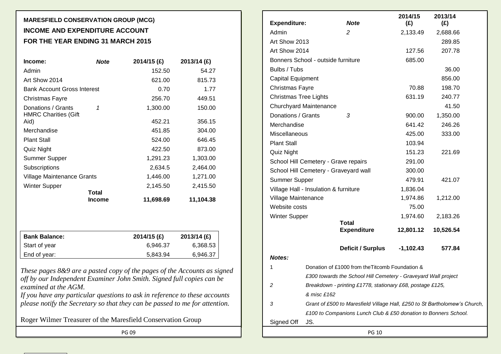#### **MARESFIELD CONSERVATION GROUP (MCG) INCOME AND EXPENDITURE ACCOUNT FOR THE YEAR ENDING 31 MARCH 2015**

| Income:                                           | <b>Note</b>   | 2014/15 (£) | 2013/14 (£) |
|---------------------------------------------------|---------------|-------------|-------------|
| Admin                                             |               | 152.50      | 54.27       |
| Art Show 2014                                     |               | 621.00      | 815.73      |
| <b>Bank Account Gross Interest</b>                |               | 0.70        | 1.77        |
| Christmas Fayre                                   |               | 256.70      | 449.51      |
| Donations / Grants<br><b>HMRC Charities (Gift</b> | 1             | 1,300.00    | 150.00      |
| Aid)                                              |               | 452.21      | 356.15      |
| Merchandise                                       |               | 451.85      | 304.00      |
| <b>Plant Stall</b>                                |               | 524.00      | 646.45      |
| Quiz Night                                        |               | 422.50      | 873.00      |
| Summer Supper                                     |               | 1,291.23    | 1,303.00    |
| Subscriptions                                     |               | 2,634.5     | 2,464.00    |
| Village Maintenance Grants                        |               | 1,446.00    | 1,271.00    |
| <b>Winter Supper</b>                              | <b>Total</b>  | 2,145.50    | 2,415.50    |
|                                                   | <b>Income</b> | 11,698.69   | 11,104.38   |
|                                                   |               |             |             |
| <b>Bank Balance:</b>                              |               | 2014/15 (£) | 2013/14 (£) |
| Start of year                                     |               | 6,946.37    | 6,368.53    |
| End of year:                                      |               | 5,843.94    | 6,946.37    |

*These pages 8&9 are a pasted copy of the pages of the Accounts as signed off by our Independent Examiner John Smith. Signed full copies can be examined at the AGM.*

*If you have any particular questions to ask in reference to these accounts please notify the Secretary so that they can be passed to me for attention.* 

Roger Wilmer Treasurer of the Maresfield Conservation Group

| <b>Expenditure:</b>          |                                       | <b>Note</b>                                                                | 2014/15<br>(E) | 2013/14<br>(E) |  |
|------------------------------|---------------------------------------|----------------------------------------------------------------------------|----------------|----------------|--|
| Admin                        |                                       | 2                                                                          | 2,133.49       | 2,688.66       |  |
| Art Show 2013                |                                       |                                                                            |                | 289.85         |  |
| Art Show 2014                |                                       |                                                                            | 127.56         | 207.78         |  |
|                              | Bonners School - outside furniture    |                                                                            | 685.00         |                |  |
| Bulbs / Tubs                 |                                       |                                                                            |                | 36.00          |  |
| Capital Equipment            |                                       |                                                                            |                | 856.00         |  |
| Christmas Fayre              |                                       |                                                                            | 70.88          | 198.70         |  |
| <b>Christmas Tree Lights</b> |                                       |                                                                            | 631.19         | 240.77         |  |
|                              | Churchyard Maintenance                |                                                                            |                | 41.50          |  |
| Donations / Grants           |                                       | 3                                                                          | 900.00         | 1,350.00       |  |
| Merchandise                  |                                       |                                                                            | 641.42         | 246.26         |  |
| Miscellaneous                |                                       |                                                                            | 425.00         | 333.00         |  |
| <b>Plant Stall</b>           |                                       |                                                                            | 103.94         |                |  |
| Quiz Night                   |                                       |                                                                            | 151.23         | 221.69         |  |
|                              | School Hill Cemetery - Grave repairs  |                                                                            | 291.00         |                |  |
|                              | School Hill Cemetery - Graveyard wall |                                                                            | 300.00         |                |  |
| Summer Supper                |                                       |                                                                            | 479.91         | 421.07         |  |
|                              | Village Hall - Insulation & furniture |                                                                            | 1,836.04       |                |  |
| Village Maintenance          |                                       |                                                                            | 1,974.86       | 1,212.00       |  |
| Website costs                |                                       |                                                                            | 75.00          |                |  |
| <b>Winter Supper</b>         |                                       |                                                                            | 1,974.60       | 2,183.26       |  |
|                              |                                       | <b>Total</b><br><b>Expenditure</b>                                         | 12,801.12      | 10,526.54      |  |
|                              |                                       | Deficit / Surplus                                                          | $-1,102.43$    | 577.84         |  |
| Notes:                       |                                       |                                                                            |                |                |  |
| $\mathbf{1}$                 |                                       | Donation of £1000 from the Titcomb Foundation &                            |                |                |  |
|                              |                                       | £300 towards the School Hill Cemetery - Graveyard Wall project             |                |                |  |
| 2                            | & misc £162                           | Breakdown - printing £1778, stationary £68, postage £125,                  |                |                |  |
| 3                            |                                       | Grant of £500 to Maresfield Village Hall, £250 to St Bartholomew's Church, |                |                |  |
|                              |                                       | £100 to Companions Lunch Club & £50 donation to Bonners School.            |                |                |  |
| Signed Off                   | JS.                                   |                                                                            |                |                |  |
|                              |                                       |                                                                            |                |                |  |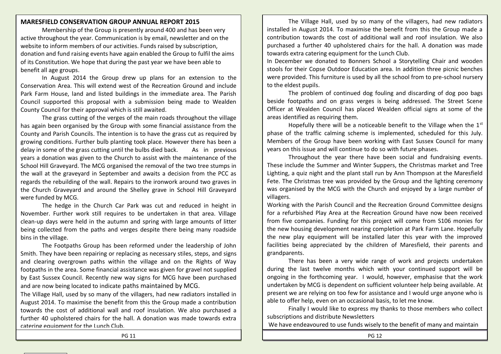#### **MARESFIELD CONSERVATION GROUP ANNUAL REPORT 2015**

Membership of the Group is presently around 400 and has been very active throughout the year. Communication is by email, newsletter and on the website to inform members of our activities. Funds raised by subscription, donation and fund raising events have again enabled the Group to fulfil the aims of its Constitution. We hope that during the past year we have been able to benefit all age groups.

In August 2014 the Group drew up plans for an extension to the Conservation Area. This will extend west of the Recreation Ground and include Park Farm House, land and listed buildings in the immediate area. The Parish Council supported this proposal with a submission being made to Wealden County Council for their approval which is still awaited.

The grass cutting of the verges of the main roads throughout the village has again been organised by the Group with some financial assistance from the County and Parish Councils. The intention is to have the grass cut as required by growing conditions. Further bulb planting took place. However there has been a delay in some of the grass cutting until the bulbs died back. As in previous years a donation was given to the Church to assist with the maintenance of the School Hill Graveyard. The MCG organised the removal of the two tree stumps in the wall at the graveyard in September and awaits a decision from the PCC as regards the rebuilding of the wall. Repairs to the ironwork around two graves in the Church Graveyard and around the Shelley grave in School Hill Graveyard were funded by MCG.

The hedge in the Church Car Park was cut and reduced in height in November. Further work still requires to be undertaken in that area. Village clean-up days were held in the autumn and spring with large amounts of litter being collected from the paths and verges despite there being many roadside bins in the village.

The Footpaths Group has been reformed under the leadership of John Smith. They have been repairing or replacing as necessary stiles, steps, and signs and clearing overgrown paths within the village and on the Rights of Way footpaths in the area. Some financial assistance was given for gravel not supplied by East Sussex Council. Recently new way signs for MCG have been purchased and are now being located to indicate paths maintained by MCG.

The Village Hall, used by so many of the villagers, had new radiators installed in August 2014. To maximise the benefit from this the Group made a contribution towards the cost of additional wall and roof insulation. We also purchased a further 40 upholstered chairs for the hall. A donation was made towards extra catering equipment for the Lunch Club.

The Village Hall, used by so many of the villagers, had new radiators installed in August 2014. To maximise the benefit from this the Group made a contribution towards the cost of additional wall and roof insulation. We also purchased a further 40 upholstered chairs for the hall. A donation was made towards extra catering equipment for the Lunch Club.

In December we donated to Bonners School a Storytelling Chair and wooden stools for their Copse Outdoor Education area. In addition three picnic benches were provided. This furniture is used by all the school from to pre-school nursery to the eldest pupils.

The problem of continued dog fouling and discarding of dog poo bags beside footpaths and on grass verges is being addressed. The Street Scene Officer at Wealden Council has placed Wealden official signs at some of the areas identified as requiring them.

Hopefully there will be a noticeable benefit to the Village when the  $1<sup>st</sup>$ phase of the traffic calming scheme is implemented, scheduled for this July. Members of the Group have been working with East Sussex Council for many years on this issue and will continue to do so with future phases.

Throughout the year there have been social and fundraising events. These include the Summer and Winter Suppers, the Christmas market and Tree Lighting, a quiz night and the plant stall run by Ann Thompson at the Maresfield Fete. The Christmas tree was provided by the Group and the lighting ceremony was organised by the MCG with the Church and enjoyed by a large number of villagers.

Working with the Parish Council and the Recreation Ground Committee designs for a refurbished Play Area at the Recreation Ground have now been received from five companies. Funding for this project will come from S106 monies for the new housing development nearing completion at Park Farm Lane. Hopefully the new play equipment will be installed later this year with the improved facilities being appreciated by the children of Maresfield, their parents and grandparents.

There has been a very wide range of work and projects undertaken during the last twelve months which with your continued support will be ongoing in the forthcoming year. I would, however, emphasise that the work undertaken by MCG is dependent on sufficient volunteer help being available. At present we are relying on too few for assistance and I would urge anyone who is able to offer help, even on an occasional basis, to let me know.

Finally I would like to express my thanks to those members who collect subscriptions and distribute Newsletters

We have endeavoured to use funds wisely to the benefit of many and maintain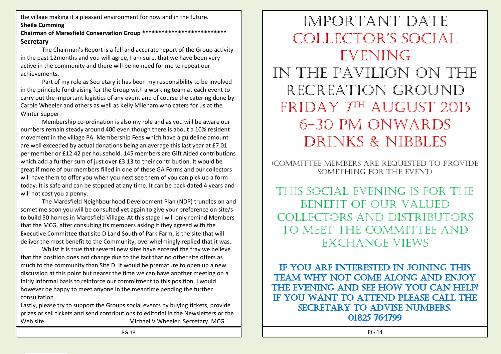the village making it a pleasant environment for now and in the future. **Sheila Cumming**

#### **Chairman of Maresfield Conservation Group \*\*\*\*\*\*\*\*\*\*\*\*\*\*\*\*\*\*\*\*\*\*\*\*\*\* Secretary**

The Chairman's Report is a full and accurate report of the Group activity in the past 12months and you will agree, I am sure, that we have been very active in the community and there will be no need for me to repeat our achievements.

Part of my role as Secretary it has been my responsibility to be involved in the principle fundraising for the Group with a working team at each event to carry out the important logistics of any event and of course the catering done by Carole Wheeler and others as well as Kelly Mileham who caters for us at the Winter Supper.

Membership co-ordination is also my role and as you will be aware our numbers remain steady around 400 even though there is about a 10% resident movement in the village PA. Membership Fees which have a guideline amount are well exceeded by actual donations being an average this last year at £7.01 per member or £12.42 per household. 145 members are Gift Aided contributions which add a further sum of just over £3.13 to their contribution. It would be great if more of our members filled in one of these GA Forms and our collectors will have them to offer you when you next see them of you can pick up a form today. It is safe and can be stopped at any time. It can be back dated 4 years and will not cost you a penny.

The Maresfield Neighbourhood Development Plan (NDP) trundles on and sometime soon you will be consulted yet again to give your preference on site/s to build 50 homes in Maresfield Village. At this stage I will only remind Members that the MCG, after consulting its members asking if they agreed with the Executive Committee that site D Land South of Park Farm, is the site that will deliver the most benefit to the Community, overwhelmingly replied that it was.

Whilst it is true that several new sites have entered the fray we believe that the position does not change due to the fact that no other site offers as much to the community than Site D. It would be premature to open up a new discussion at this point but nearer the time we can have another meeting on a fairly informal basis to reinforce our commitment to this position. I would however be happy to meet anyone in the meantime pending the further consultation.

Lastly, please try to support the Groups social events by buying tickets, provide prizes or sell tickets and send contributions to editorial in the Newsletters or the Web site. **Michael V Wheeler.** Secretary. MCG

Important date ColleCtor's soCial EVENING In the pavilion on the recreation ground FRIDAY 7TH AUGUST 2015 6-30 pm onwards Drinks & Nibbles

(Committee members are requested to provide something for the event)

This social evening is for the benefit of our valued collectors and distributors to meet the committee and exchange views

IF YOU ARE INTERESTED IN JOINING THIS team why not come along and enjoy THE EVENING AND SEE HOW YOU CAN HELP? If you want to attend please call the secretary to advise numbers. 01825 764799